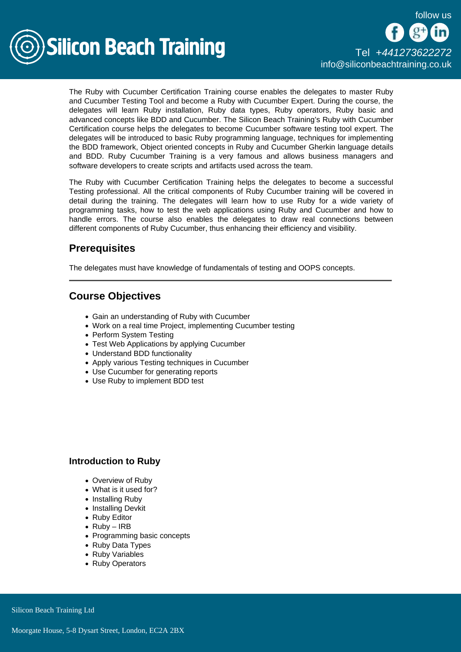

The Ruby with Cucumber Certification Training course enables the delegates to master Ruby and Cucumber Testing Tool and become a Ruby with Cucumber Expert. During the course, the delegates will learn Ruby installation, Ruby data types, Ruby operators, Ruby basic and advanced concepts like BDD and Cucumber. The Silicon Beach Training's Ruby with Cucumber Certification course helps the delegates to become Cucumber software testing tool expert. The delegates will be introduced to basic Ruby programming language, techniques for implementing the BDD framework, Object oriented concepts in Ruby and Cucumber Gherkin language details and BDD. Ruby Cucumber Training is a very famous and allows business managers and software developers to create scripts and artifacts used across the team.

The Ruby with Cucumber Certification Training helps the delegates to become a successful Testing professional. All the critical components of Ruby Cucumber training will be covered in detail during the training. The delegates will learn how to use Ruby for a wide variety of programming tasks, how to test the web applications using Ruby and Cucumber and how to handle errors. The course also enables the delegates to draw real connections between different components of Ruby Cucumber, thus enhancing their efficiency and visibility.

## **Prerequisites**

The delegates must have knowledge of fundamentals of testing and OOPS concepts.

# Course Objectives

- Gain an understanding of Ruby with Cucumber
- Work on a real time Project, implementing Cucumber testing
- Perform System Testing
- Test Web Applications by applying Cucumber
- Understand BDD functionality
- Apply various Testing techniques in Cucumber
- Use Cucumber for generating reports
- Use Ruby to implement BDD test

#### Introduction to Ruby

- Overview of Ruby
- What is it used for?
- Installing Ruby
- Installing Devkit
- Ruby Editor
- $Ruby IRB$
- Programming basic concepts
- Ruby Data Types
- Ruby Variables
- Ruby Operators

Silicon Beach Training Ltd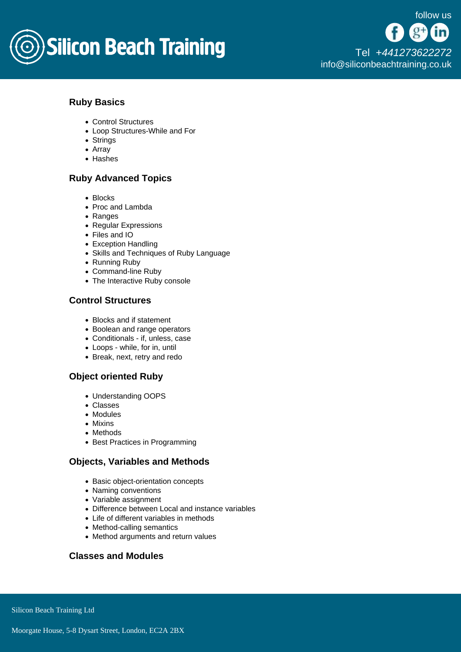

## Ruby Basics

- Control Structures
- Loop Structures-While and For
- Strings
- Array
- Hashes

### Ruby Advanced Topics

- Blocks
- Proc and Lambda
- Ranges
- Regular Expressions
- Files and IO
- Exception Handling
- Skills and Techniques of Ruby Language
- Running Ruby
- Command-line Ruby
- The Interactive Ruby console

### Control Structures

- Blocks and if statement
- Boolean and range operators
- Conditionals if, unless, case
- Loops while, for in, until
- Break, next, retry and redo

## Object oriented Ruby

- Understanding OOPS
- Classes
- Modules
- Mixins
- Methods
- Best Practices in Programming

### Objects, Variables and Methods

- Basic object-orientation concepts
- Naming conventions
- Variable assignment
- Difference between Local and instance variables
- Life of different variables in methods
- Method-calling semantics
- Method arguments and return values

### Classes and Modules

Silicon Beach Training Ltd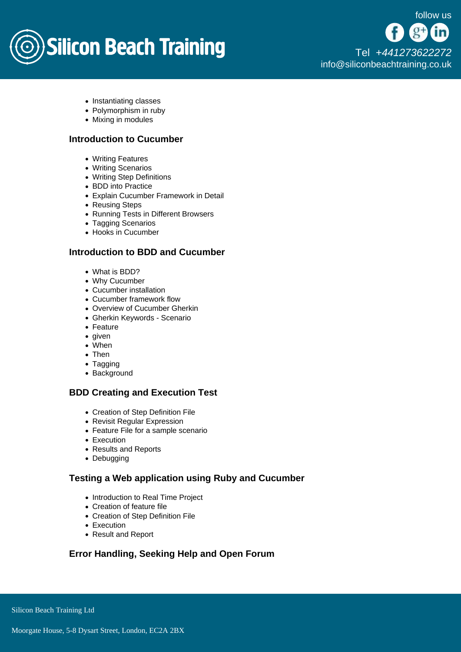

- Instantiating classes
- Polymorphism in ruby
- Mixing in modules

### Introduction to Cucumber

- Writing Features
- Writing Scenarios
- Writing Step Definitions
- BDD into Practice
- Explain Cucumber Framework in Detail
- Reusing Steps
- Running Tests in Different Browsers
- Tagging Scenarios
- Hooks in Cucumber

### Introduction to BDD and Cucumber

- What is BDD?
- Why Cucumber
- Cucumber installation
- Cucumber framework flow
- Overview of Cucumber Gherkin
- Gherkin Keywords Scenario
- Feature
- given
- When
- Then
- Tagging
- Background

### BDD Creating and Execution Test

- Creation of Step Definition File
- Revisit Regular Expression
- Feature File for a sample scenario
- Execution
- Results and Reports
- Debugging

### Testing a Web application using Ruby and Cucumber

- Introduction to Real Time Project
- Creation of feature file
- Creation of Step Definition File
- Execution
- Result and Report

Error Handling, Seeking Help and Open Forum